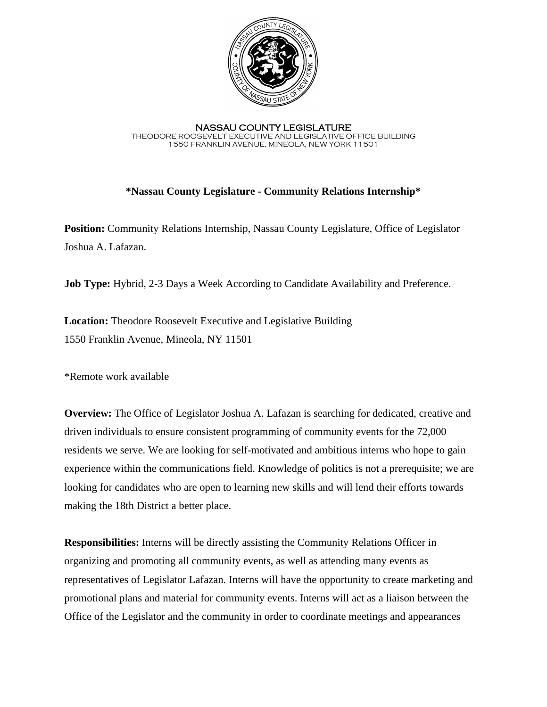

NASSAU COUNTY LEGISLATURE THEODORE ROOSEVELT EXECUTIVE AND LEGISLATIVE OFFICE BUILDING 1550 FRANKLIN AVENUE, MINEOLA, NEW YORK 11501

## **\*Nassau County Legislature - Community Relations Internship\***

**Position:** Community Relations Internship, Nassau County Legislature, Office of Legislator Joshua A. Lafazan.

**Job Type:** Hybrid, 2-3 Days a Week According to Candidate Availability and Preference.

**Location:** Theodore Roosevelt Executive and Legislative Building 1550 Franklin Avenue, Mineola, NY 11501

\*Remote work available

**Overview:** The Office of Legislator Joshua A. Lafazan is searching for dedicated, creative and driven individuals to ensure consistent programming of community events for the 72,000 residents we serve. We are looking for self-motivated and ambitious interns who hope to gain experience within the communications field. Knowledge of politics is not a prerequisite; we are looking for candidates who are open to learning new skills and will lend their efforts towards making the 18th District a better place.

**Responsibilities:** Interns will be directly assisting the Community Relations Officer in organizing and promoting all community events, as well as attending many events as representatives of Legislator Lafazan. Interns will have the opportunity to create marketing and promotional plans and material for community events. Interns will act as a liaison between the Office of the Legislator and the community in order to coordinate meetings and appearances